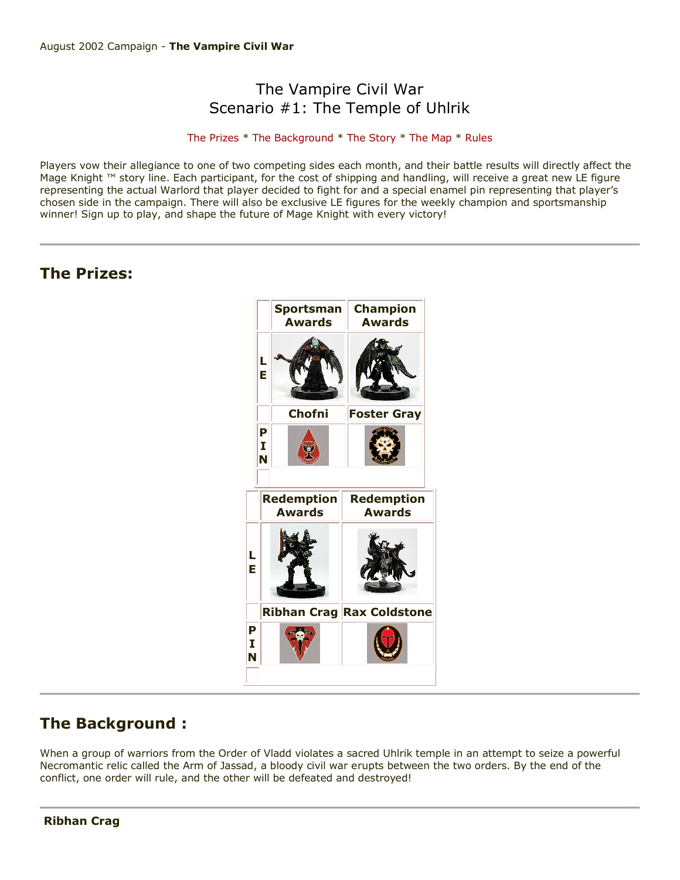# The Vampire Civil War Scenario #1: The Temple of Uhlrik

## [The Prizes](http://www.wizkidsgames.com/mageknight/article.asp?cid=36988&frame=Talesfromtheland#prizes#prizes) \* [The Background](http://www.wizkidsgames.com/mageknight/article.asp?cid=36988&frame=Talesfromtheland#background#background) \* [The Story](http://www.wizkidsgames.com/mageknight/article.asp?cid=36988&frame=Talesfromtheland#story#story) \* [The Map](http://www.wizkidsgames.com/mageknight/article.asp?cid=36988&frame=Talesfromtheland#map#map) \* [Rules](http://www.wizkidsgames.com/mageknight/article.asp?cid=36988&frame=Talesfromtheland#week#week)

Players vow their allegiance to one of two competing sides each month, and their battle results will directly affect the Mage Knight ™ story line. Each participant, for the cost of shipping and handling, will receive a great new LE figure representing the actual Warlord that player decided to fight for and a special enamel pin representing that player's chosen side in the campaign. There will also be exclusive LE figures for the weekly champion and sportsmanship winner! Sign up to play, and shape the future of Mage Knight with every victory!

# **The Prizes:**



# **The Background :**

When a group of warriors from the Order of Vladd violates a sacred Uhlrik temple in an attempt to seize a powerful Necromantic relic called the Arm of Jassad, a bloody civil war erupts between the two orders. By the end of the conflict, one order will rule, and the other will be defeated and destroyed!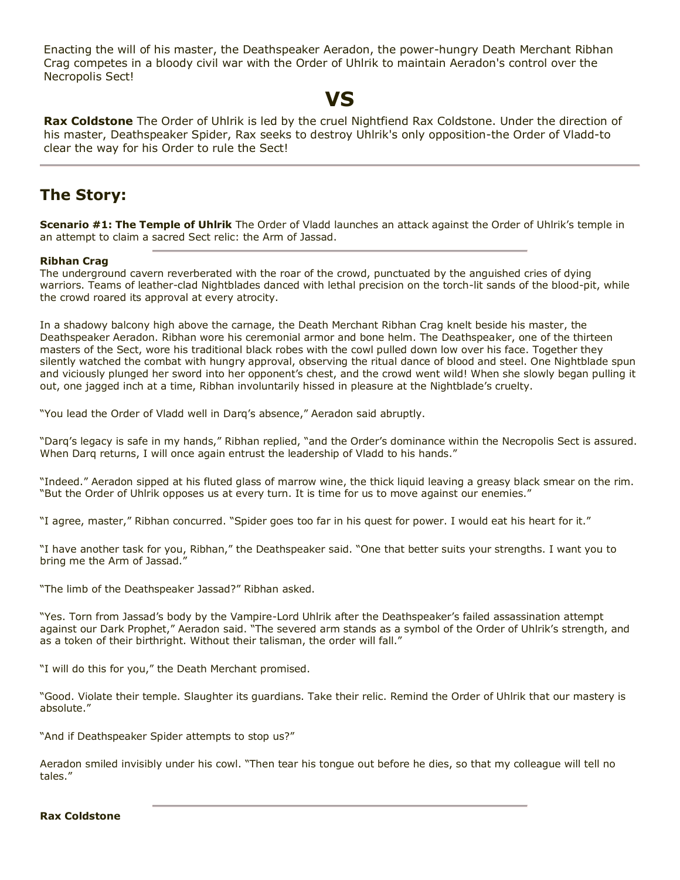Enacting the will of his master, the Deathspeaker Aeradon, the power-hungry Death Merchant Ribhan Crag competes in a bloody civil war with the Order of Uhlrik to maintain Aeradon's control over the Necropolis Sect!

# **VS**

**Rax Coldstone** The Order of Uhlrik is led by the cruel Nightfiend Rax Coldstone. Under the direction of his master, Deathspeaker Spider, Rax seeks to destroy Uhlrik's only opposition-the Order of Vladd-to clear the way for his Order to rule the Sect!

# **The Story:**

**Scenario #1: The Temple of Uhlrik** The Order of Vladd launches an attack against the Order of Uhlrik's temple in an attempt to claim a sacred Sect relic: the Arm of Jassad.

### **Ribhan Crag**

The underground cavern reverberated with the roar of the crowd, punctuated by the anguished cries of dying warriors. Teams of leather-clad Nightblades danced with lethal precision on the torch-lit sands of the blood-pit, while the crowd roared its approval at every atrocity.

In a shadowy balcony high above the carnage, the Death Merchant Ribhan Crag knelt beside his master, the Deathspeaker Aeradon. Ribhan wore his ceremonial armor and bone helm. The Deathspeaker, one of the thirteen masters of the Sect, wore his traditional black robes with the cowl pulled down low over his face. Together they silently watched the combat with hungry approval, observing the ritual dance of blood and steel. One Nightblade spun and viciously plunged her sword into her opponent's chest, and the crowd went wild! When she slowly began pulling it out, one jagged inch at a time, Ribhan involuntarily hissed in pleasure at the Nightblade's cruelty.

"You lead the Order of Vladd well in Darq's absence," Aeradon said abruptly.

"Darq's legacy is safe in my hands," Ribhan replied, "and the Order's dominance within the Necropolis Sect is assured. When Darq returns, I will once again entrust the leadership of Vladd to his hands."

"Indeed." Aeradon sipped at his fluted glass of marrow wine, the thick liquid leaving a greasy black smear on the rim. "But the Order of Uhlrik opposes us at every turn. It is time for us to move against our enemies."

"I agree, master," Ribhan concurred. "Spider goes too far in his quest for power. I would eat his heart for it."

"I have another task for you, Ribhan," the Deathspeaker said. "One that better suits your strengths. I want you to bring me the Arm of Jassad."

"The limb of the Deathspeaker Jassad?" Ribhan asked.

"Yes. Torn from Jassad's body by the Vampire-Lord Uhlrik after the Deathspeaker's failed assassination attempt against our Dark Prophet," Aeradon said. "The severed arm stands as a symbol of the Order of Uhlrik's strength, and as a token of their birthright. Without their talisman, the order will fall."

"I will do this for you," the Death Merchant promised.

"Good. Violate their temple. Slaughter its guardians. Take their relic. Remind the Order of Uhlrik that our mastery is absolute."

"And if Deathspeaker Spider attempts to stop us?"

Aeradon smiled invisibly under his cowl. "Then tear his tongue out before he dies, so that my colleague will tell no tales."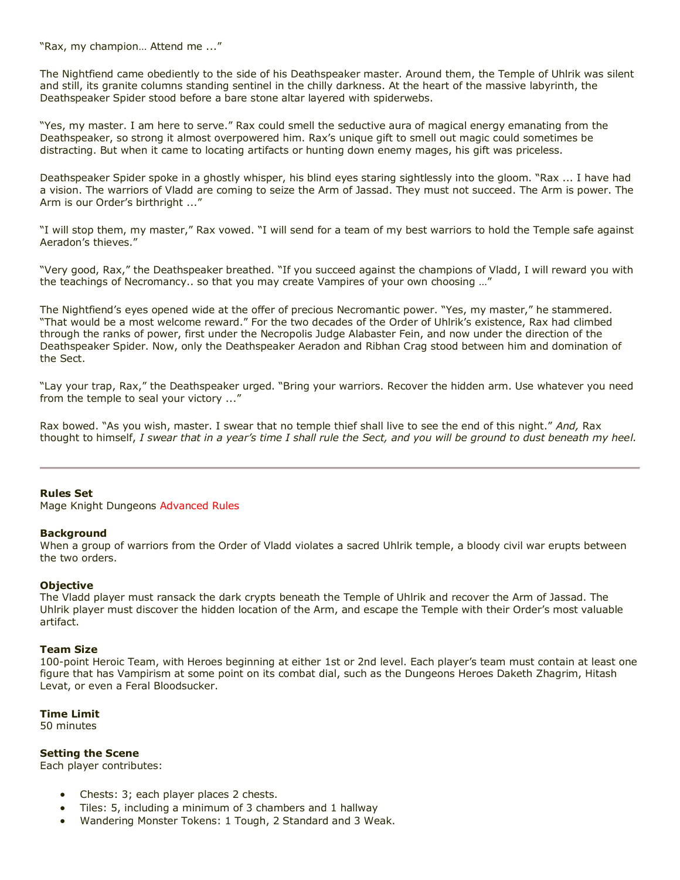"Rax, my champion… Attend me ..."

The Nightfiend came obediently to the side of his Deathspeaker master. Around them, the Temple of Uhlrik was silent and still, its granite columns standing sentinel in the chilly darkness. At the heart of the massive labyrinth, the Deathspeaker Spider stood before a bare stone altar layered with spiderwebs.

"Yes, my master. I am here to serve." Rax could smell the seductive aura of magical energy emanating from the Deathspeaker, so strong it almost overpowered him. Rax's unique gift to smell out magic could sometimes be distracting. But when it came to locating artifacts or hunting down enemy mages, his gift was priceless.

Deathspeaker Spider spoke in a ghostly whisper, his blind eyes staring sightlessly into the gloom. "Rax ... I have had a vision. The warriors of Vladd are coming to seize the Arm of Jassad. They must not succeed. The Arm is power. The Arm is our Order's birthright ..."

"I will stop them, my master," Rax vowed. "I will send for a team of my best warriors to hold the Temple safe against Aeradon's thieves."

"Very good, Rax," the Deathspeaker breathed. "If you succeed against the champions of Vladd, I will reward you with the teachings of Necromancy.. so that you may create Vampires of your own choosing …"

The Nightfiend's eyes opened wide at the offer of precious Necromantic power. "Yes, my master," he stammered. "That would be a most welcome reward." For the two decades of the Order of Uhlrik's existence, Rax had climbed through the ranks of power, first under the Necropolis Judge Alabaster Fein, and now under the direction of the Deathspeaker Spider. Now, only the Deathspeaker Aeradon and Ribhan Crag stood between him and domination of the Sect.

"Lay your trap, Rax," the Deathspeaker urged. "Bring your warriors. Recover the hidden arm. Use whatever you need from the temple to seal your victory ..."

Rax bowed. "As you wish, master. I swear that no temple thief shall live to see the end of this night." *And,* Rax thought to himself, *I swear that in a year's time I shall rule the Sect, and you will be ground to dust beneath my heel.*

#### **Rules Set**

Mage Knight Dungeons Advanced Rules

#### **Background**

When a group of warriors from the Order of Vladd violates a sacred Uhlrik temple, a bloody civil war erupts between the two orders.

#### **Objective**

The Vladd player must ransack the dark crypts beneath the Temple of Uhlrik and recover the Arm of Jassad. The Uhlrik player must discover the hidden location of the Arm, and escape the Temple with their Order's most valuable artifact.

#### **Team Size**

100-point Heroic Team, with Heroes beginning at either 1st or 2nd level. Each player's team must contain at least one figure that has Vampirism at some point on its combat dial, such as the Dungeons Heroes Daketh Zhagrim, Hitash Levat, or even a Feral Bloodsucker.

#### **Time Limit**

50 minutes

#### **Setting the Scene**

Each player contributes:

- Chests: 3; each player places 2 chests.
- Tiles: 5, including a minimum of 3 chambers and 1 hallway
- Wandering Monster Tokens: 1 Tough, 2 Standard and 3 Weak.